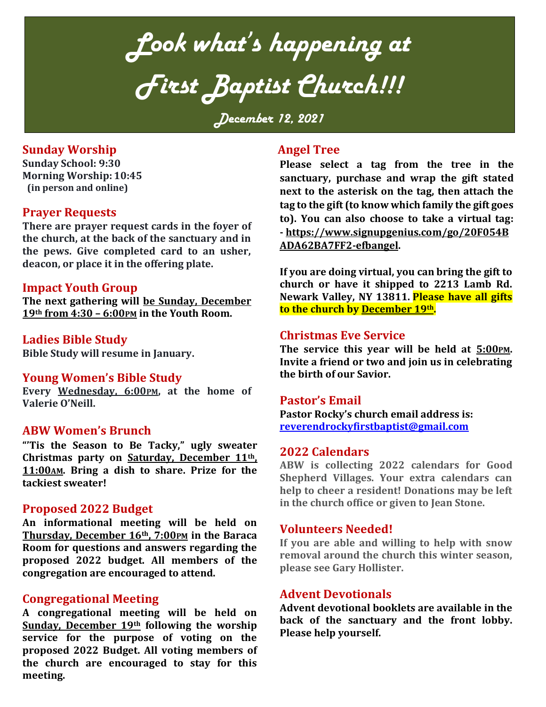*Look what's happening at First Baptist Church!!!*

*December 12, 2021*

## **Sunday Worship**

**Sunday School: 9:30 Morning Worship: 10:45 (in person and online)**

## **Prayer Requests**

**There are prayer request cards in the foyer of the church, at the back of the sanctuary and in the pews. Give completed card to an usher, deacon, or place it in the offering plate.**

## **Impact Youth Group**

**The next gathering will be Sunday, December 19th from 4:30 – 6:00PM in the Youth Room.** 

## **Ladies Bible Study**

**Bible Study will resume in January.** 

## **Young Women's Bible Study**

**Every Wednesday, 6:00PM, at the home of Valerie O'Neill.**

## **ABW Women's Brunch**

**"'Tis the Season to Be Tacky," ugly sweater Christmas party on Saturday, December 11th, 11:00AM. Bring a dish to share. Prize for the tackiest sweater!**

## **Proposed 2022 Budget**

**An informational meeting will be held on Thursday, December 16th, 7:00PM in the Baraca Room for questions and answers regarding the proposed 2022 budget. All members of the congregation are encouraged to attend.**

## **Congregational Meeting**

**A congregational meeting will be held on Sunday, December 19th following the worship service for the purpose of voting on the proposed 2022 Budget. All voting members of the church are encouraged to stay for this meeting.**

## **Angel Tree**

**Please select a tag from the tree in the sanctuary, purchase and wrap the gift stated next to the asterisk on the tag, then attach the tag to the gift (to know which family the gift goes to). You can also choose to take a virtual tag: - [https://www.signupgenius.com/go/20F054B](https://www.signupgenius.com/go/20F054BADA62BA7FF2-efbangel) [ADA62BA7FF2-efbangel.](https://www.signupgenius.com/go/20F054BADA62BA7FF2-efbangel)**

**If you are doing virtual, you can bring the gift to church or have it shipped to 2213 Lamb Rd. Newark Valley, NY 13811. Please have all gifts to the church by December 19th.**

## **Christmas Eve Service**

**The service this year will be held at 5:00PM. Invite a friend or two and join us in celebrating the birth of our Savior.**

## **Pastor's Email**

**Pastor Rocky's church email address is: [reverendrockyfirstbaptist@gmail.com](mailto:reverendrockyfirstbaptist@gmail.com)**

#### **2022 Calendars**

**ABW is collecting 2022 calendars for Good Shepherd Villages. Your extra calendars can help to cheer a resident! Donations may be left in the church office or given to Jean Stone.** 

#### **Volunteers Needed!**

**If you are able and willing to help with snow removal around the church this winter season, please see Gary Hollister.**

## **Advent Devotionals**

**Advent devotional booklets are available in the back of the sanctuary and the front lobby. Please help yourself.**